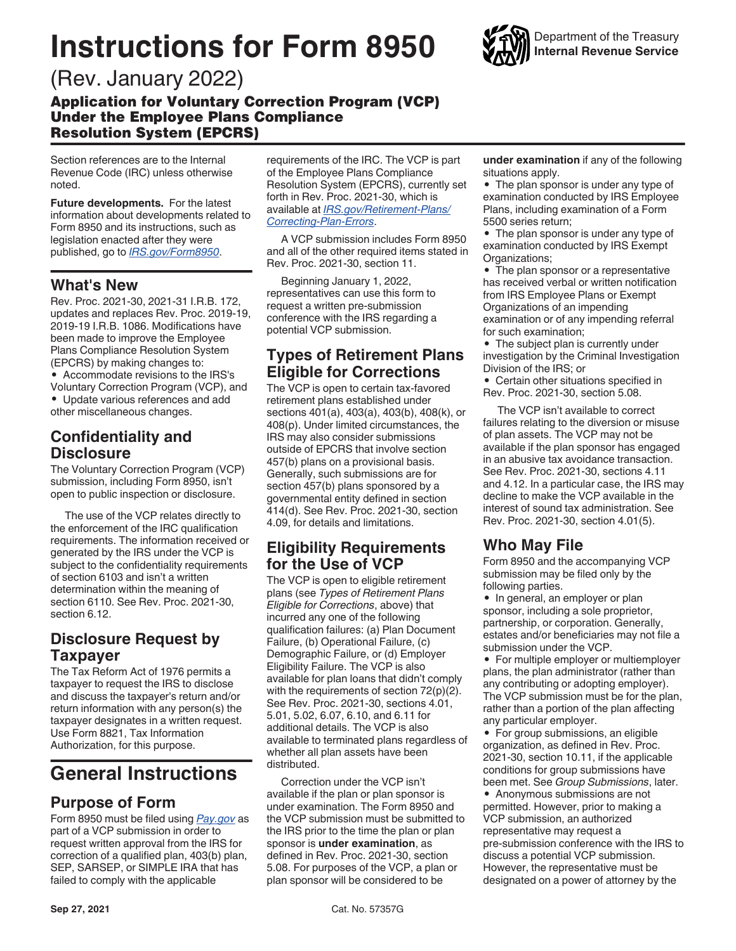# **Instructions for Form 8950**

(Rev. January 2022)

# Application for Voluntary Correction Program (VCP) Under the Employee Plans Compliance Resolution System (EPCRS)

Section references are to the Internal Revenue Code (IRC) unless otherwise noted.

**Future developments.** For the latest information about developments related to Form 8950 and its instructions, such as legislation enacted after they were published, go to *[IRS.gov/Form8950](https://www.irs.gov/uac/Form-8950,-Application-for-Voluntary-Correction-Program-(VCP)-Submission-under-the-Employee-Plans-Compliance-Resolution-System-(EPCRS))*.

# **What's New**

Rev. Proc. 2021-30, 2021-31 I.R.B. 172, updates and replaces Rev. Proc. 2019-19, 2019-19 I.R.B. 1086. Modifications have been made to improve the Employee Plans Compliance Resolution System (EPCRS) by making changes to:

• Accommodate revisions to the IRS's Voluntary Correction Program (VCP), and • Update various references and add other miscellaneous changes.

# **Confidentiality and Disclosure**

The Voluntary Correction Program (VCP) submission, including Form 8950, isn't open to public inspection or disclosure.

The use of the VCP relates directly to the enforcement of the IRC qualification requirements. The information received or generated by the IRS under the VCP is subject to the confidentiality requirements of section 6103 and isn't a written determination within the meaning of section 6110. See Rev. Proc. 2021-30, section 6.12.

# **Disclosure Request by Taxpayer**

The Tax Reform Act of 1976 permits a taxpayer to request the IRS to disclose and discuss the taxpayer's return and/or return information with any person(s) the taxpayer designates in a written request. Use Form 8821, Tax Information Authorization, for this purpose.

# **General Instructions**

# **Purpose of Form**

Form 8950 must be filed using *[Pay.gov](https://www.pay.gov/public/home)* as part of a VCP submission in order to request written approval from the IRS for correction of a qualified plan, 403(b) plan, SEP, SARSEP, or SIMPLE IRA that has failed to comply with the applicable

requirements of the IRC. The VCP is part of the Employee Plans Compliance Resolution System (EPCRS), currently set forth in Rev. Proc. 2021-30, which is available at *[IRS.gov/Retirement-Plans/](https://www.irs.gov/Retirement-Plans/Correcting-Plan-Errors) [Correcting-Plan-Errors](https://www.irs.gov/Retirement-Plans/Correcting-Plan-Errors)*.

A VCP submission includes Form 8950 and all of the other required items stated in Rev. Proc. 2021-30, section 11.

Beginning January 1, 2022, representatives can use this form to request a written pre-submission conference with the IRS regarding a potential VCP submission.

# **Types of Retirement Plans Eligible for Corrections**

The VCP is open to certain tax-favored retirement plans established under sections 401(a), 403(a), 403(b), 408(k), or 408(p). Under limited circumstances, the IRS may also consider submissions outside of EPCRS that involve section 457(b) plans on a provisional basis. Generally, such submissions are for section 457(b) plans sponsored by a governmental entity defined in section 414(d). See Rev. Proc. 2021-30, section 4.09, for details and limitations.

# **Eligibility Requirements for the Use of VCP**

The VCP is open to eligible retirement plans (see *Types of Retirement Plans Eligible for Corrections*, above) that incurred any one of the following qualification failures: (a) Plan Document Failure, (b) Operational Failure, (c) Demographic Failure, or (d) Employer Eligibility Failure. The VCP is also available for plan loans that didn't comply with the requirements of section 72(p)(2). See Rev. Proc. 2021-30, sections 4.01, 5.01, 5.02, 6.07, 6.10, and 6.11 for additional details. The VCP is also available to terminated plans regardless of whether all plan assets have been distributed.

Correction under the VCP isn't available if the plan or plan sponsor is under examination. The Form 8950 and the VCP submission must be submitted to the IRS prior to the time the plan or plan sponsor is **under examination**, as defined in Rev. Proc. 2021-30, section 5.08. For purposes of the VCP, a plan or plan sponsor will be considered to be

**under examination** if any of the following situations apply.

• The plan sponsor is under any type of examination conducted by IRS Employee Plans, including examination of a Form 5500 series return;

• The plan sponsor is under any type of examination conducted by IRS Exempt Organizations;

• The plan sponsor or a representative has received verbal or written notification from IRS Employee Plans or Exempt Organizations of an impending examination or of any impending referral for such examination;

• The subject plan is currently under investigation by the Criminal Investigation Division of the IRS; or

• Certain other situations specified in Rev. Proc. 2021-30, section 5.08.

The VCP isn't available to correct failures relating to the diversion or misuse of plan assets. The VCP may not be available if the plan sponsor has engaged in an abusive tax avoidance transaction. See Rev. Proc. 2021-30, sections 4.11 and 4.12. In a particular case, the IRS may decline to make the VCP available in the interest of sound tax administration. See Rev. Proc. 2021-30, section 4.01(5).

# **Who May File**

Form 8950 and the accompanying VCP submission may be filed only by the following parties.

• In general, an employer or plan sponsor, including a sole proprietor, partnership, or corporation. Generally, estates and/or beneficiaries may not file a submission under the VCP.

• For multiple employer or multiemployer plans, the plan administrator (rather than any contributing or adopting employer). The VCP submission must be for the plan, rather than a portion of the plan affecting any particular employer.

• For group submissions, an eligible organization, as defined in Rev. Proc. 2021-30, section 10.11, if the applicable conditions for group submissions have been met. See *Group Submissions*, later.

• Anonymous submissions are not permitted. However, prior to making a VCP submission, an authorized representative may request a pre-submission conference with the IRS to discuss a potential VCP submission. However, the representative must be designated on a power of attorney by the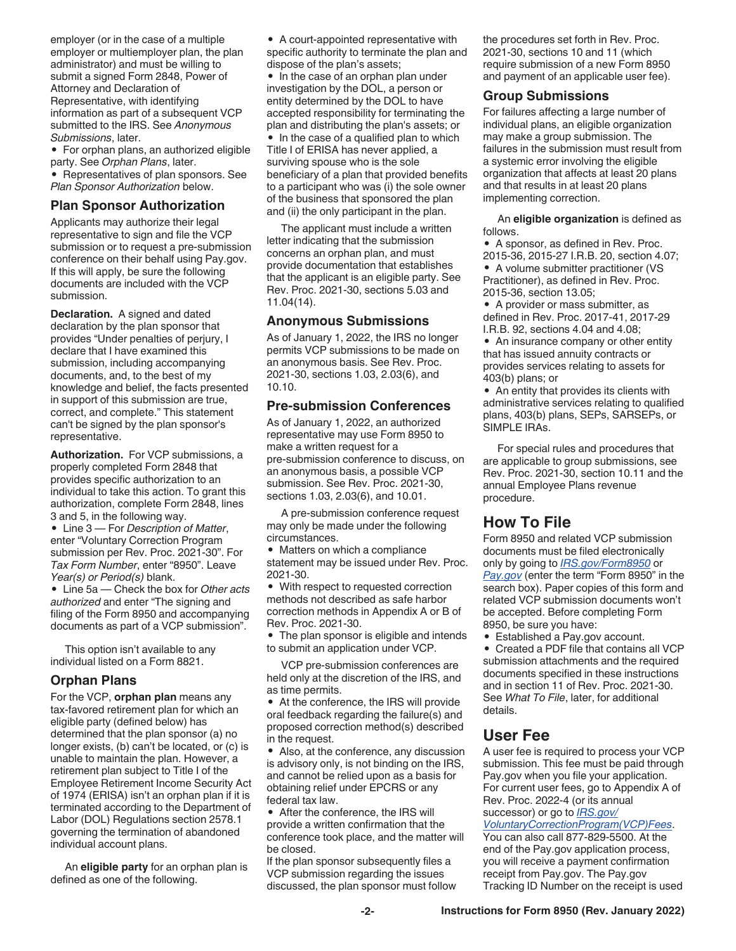employer (or in the case of a multiple employer or multiemployer plan, the plan administrator) and must be willing to submit a signed Form 2848, Power of Attorney and Declaration of Representative, with identifying information as part of a subsequent VCP submitted to the IRS. See *Anonymous Submissions*, later.

• For orphan plans, an authorized eligible party. See *Orphan Plans*, later.

• Representatives of plan sponsors. See *Plan Sponsor Authorization* below.

#### **Plan Sponsor Authorization**

Applicants may authorize their legal representative to sign and file the VCP submission or to request a pre-submission conference on their behalf using Pay.gov. If this will apply, be sure the following documents are included with the VCP submission.

**Declaration.** A signed and dated declaration by the plan sponsor that provides "Under penalties of perjury, I declare that I have examined this submission, including accompanying documents, and, to the best of my knowledge and belief, the facts presented in support of this submission are true, correct, and complete." This statement can't be signed by the plan sponsor's representative.

**Authorization.** For VCP submissions, a properly completed Form 2848 that provides specific authorization to an individual to take this action. To grant this authorization, complete Form 2848, lines 3 and 5, in the following way.

• Line 3 — For *Description of Matter*, enter "Voluntary Correction Program submission per Rev. Proc. 2021-30". For *Tax Form Number*, enter "8950". Leave *Year(s) or Period(s)* blank.

• Line 5a — Check the box for *Other acts authorized* and enter "The signing and filing of the Form 8950 and accompanying documents as part of a VCP submission".

This option isn't available to any individual listed on a Form 8821.

#### **Orphan Plans**

For the VCP, **orphan plan** means any tax-favored retirement plan for which an eligible party (defined below) has determined that the plan sponsor (a) no longer exists, (b) can't be located, or (c) is unable to maintain the plan. However, a retirement plan subject to Title I of the Employee Retirement Income Security Act of 1974 (ERISA) isn't an orphan plan if it is terminated according to the Department of Labor (DOL) Regulations section 2578.1 governing the termination of abandoned individual account plans.

An **eligible party** for an orphan plan is defined as one of the following.

• A court-appointed representative with specific authority to terminate the plan and dispose of the plan's assets;

• In the case of an orphan plan under investigation by the DOL, a person or entity determined by the DOL to have accepted responsibility for terminating the plan and distributing the plan's assets; or • In the case of a qualified plan to which Title I of ERISA has never applied, a surviving spouse who is the sole beneficiary of a plan that provided benefits to a participant who was (i) the sole owner of the business that sponsored the plan and (ii) the only participant in the plan.

The applicant must include a written letter indicating that the submission concerns an orphan plan, and must provide documentation that establishes that the applicant is an eligible party. See Rev. Proc. 2021-30, sections 5.03 and 11.04(14).

#### **Anonymous Submissions**

As of January 1, 2022, the IRS no longer permits VCP submissions to be made on an anonymous basis. See Rev. Proc. 2021-30, sections 1.03, 2.03(6), and 10.10.

#### **Pre-submission Conferences**

As of January 1, 2022, an authorized representative may use Form 8950 to make a written request for a pre-submission conference to discuss, on an anonymous basis, a possible VCP submission. See Rev. Proc. 2021-30, sections 1.03, 2.03(6), and 10.01.

A pre-submission conference request may only be made under the following circumstances.

• Matters on which a compliance statement may be issued under Rev. Proc. 2021-30.

• With respect to requested correction methods not described as safe harbor correction methods in Appendix A or B of Rev. Proc. 2021-30.

• The plan sponsor is eligible and intends to submit an application under VCP.

VCP pre-submission conferences are held only at the discretion of the IRS, and as time permits.

• At the conference, the IRS will provide oral feedback regarding the failure(s) and proposed correction method(s) described in the request.

• Also, at the conference, any discussion is advisory only, is not binding on the IRS, and cannot be relied upon as a basis for obtaining relief under EPCRS or any federal tax law.

• After the conference, the IRS will provide a written confirmation that the conference took place, and the matter will be closed.

If the plan sponsor subsequently files a VCP submission regarding the issues discussed, the plan sponsor must follow the procedures set forth in Rev. Proc. 2021-30, sections 10 and 11 (which require submission of a new Form 8950 and payment of an applicable user fee).

#### **Group Submissions**

For failures affecting a large number of individual plans, an eligible organization may make a group submission. The failures in the submission must result from a systemic error involving the eligible organization that affects at least 20 plans and that results in at least 20 plans implementing correction.

An **eligible organization** is defined as follows.

• A sponsor, as defined in Rev. Proc. 2015-36, 2015-27 I.R.B. 20, section 4.07;

• A volume submitter practitioner (VS Practitioner), as defined in Rev. Proc. 2015-36, section 13.05;

• A provider or mass submitter, as defined in Rev. Proc. 2017-41, 2017-29 I.R.B. 92, sections 4.04 and 4.08;

• An insurance company or other entity that has issued annuity contracts or provides services relating to assets for 403(b) plans; or

• An entity that provides its clients with administrative services relating to qualified plans, 403(b) plans, SEPs, SARSEPs, or SIMPLE IRAs.

For special rules and procedures that are applicable to group submissions, see Rev. Proc. 2021-30, section 10.11 and the annual Employee Plans revenue procedure.

#### **How To File**

Form 8950 and related VCP submission documents must be filed electronically only by going to *[IRS.gov/Form8950](https://www.irs.gov/forms-pubs/about-form-8950)* or *[Pay.gov](https://www.pay.gov/public/home)* (enter the term "Form 8950" in the search box). Paper copies of this form and related VCP submission documents won't be accepted. Before completing Form 8950, be sure you have:

• Established a Pay.gov account.

• Created a PDF file that contains all VCP submission attachments and the required documents specified in these instructions and in section 11 of Rev. Proc. 2021-30. See *What To File*, later, for additional details.

#### **User Fee**

A user fee is required to process your VCP submission. This fee must be paid through Pay.gov when you file your application. For current user fees, go to Appendix A of Rev. Proc. 2022-4 (or its annual successor) or go to *[IRS.gov/](https://www.irs.gov/retirement-plans/voluntary-correction-program-fees)*

*[VoluntaryCorrectionProgram\(VCP\)Fees](https://www.irs.gov/retirement-plans/voluntary-correction-program-fees)*. You can also call 877-829-5500. At the end of the Pay.gov application process, you will receive a payment confirmation receipt from Pay.gov. The Pay.gov Tracking ID Number on the receipt is used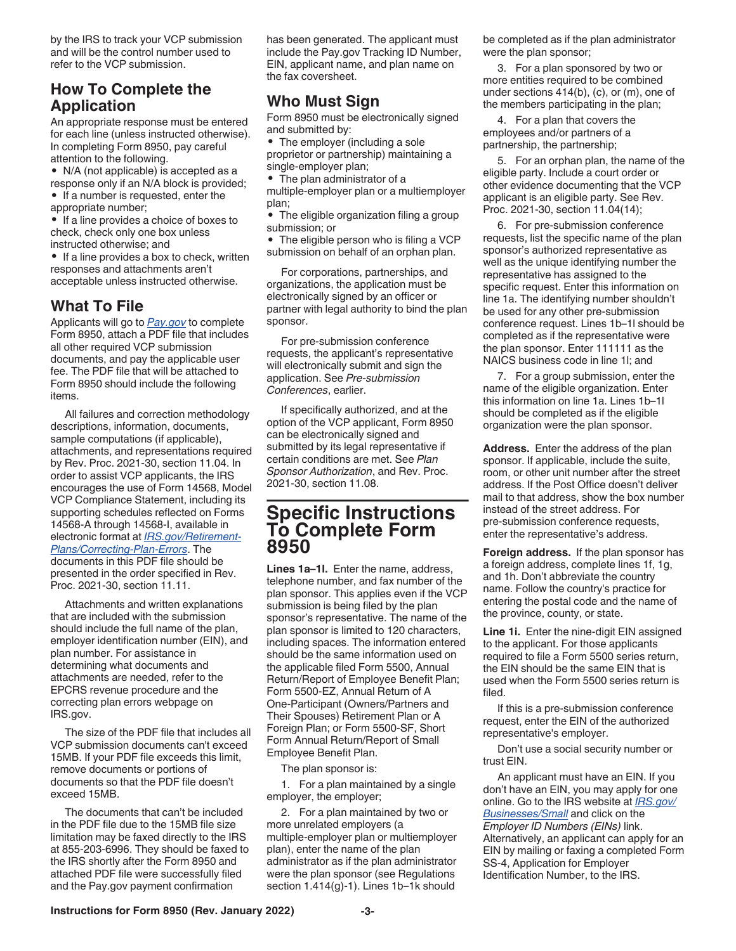by the IRS to track your VCP submission and will be the control number used to refer to the VCP submission.

# **How To Complete the Application**

An appropriate response must be entered for each line (unless instructed otherwise). In completing Form 8950, pay careful attention to the following.

• N/A (not applicable) is accepted as a response only if an N/A block is provided; • If a number is requested, enter the appropriate number;

• If a line provides a choice of boxes to check, check only one box unless instructed otherwise; and

• If a line provides a box to check, written responses and attachments aren't acceptable unless instructed otherwise.

# **What To File**

Applicants will go to *[Pay.gov](https://www.pay.gov/public/home)* to complete Form 8950, attach a PDF file that includes all other required VCP submission documents, and pay the applicable user fee. The PDF file that will be attached to Form 8950 should include the following items.

All failures and correction methodology descriptions, information, documents, sample computations (if applicable), attachments, and representations required by Rev. Proc. 2021-30, section 11.04. In order to assist VCP applicants, the IRS encourages the use of Form 14568, Model VCP Compliance Statement, including its supporting schedules reflected on Forms 14568-A through 14568-I, available in electronic format at *[IRS.gov/Retirement-](https://www.irs.gov/Retirement-Plans/Correcting-Plan-Errors)[Plans/Correcting-Plan-Errors](https://www.irs.gov/Retirement-Plans/Correcting-Plan-Errors)*. The documents in this PDF file should be presented in the order specified in Rev. Proc. 2021-30, section 11.11.

Attachments and written explanations that are included with the submission should include the full name of the plan, employer identification number (EIN), and plan number. For assistance in determining what documents and attachments are needed, refer to the EPCRS revenue procedure and the correcting plan errors webpage on IRS.gov.

The size of the PDF file that includes all VCP submission documents can't exceed 15MB. If your PDF file exceeds this limit, remove documents or portions of documents so that the PDF file doesn't exceed 15MB.

The documents that can't be included in the PDF file due to the 15MB file size limitation may be faxed directly to the IRS at 855-203-6996. They should be faxed to the IRS shortly after the Form 8950 and attached PDF file were successfully filed and the Pay.gov payment confirmation

has been generated. The applicant must include the Pay.gov Tracking ID Number, EIN, applicant name, and plan name on the fax coversheet.

# **Who Must Sign**

Form 8950 must be electronically signed and submitted by:

• The employer (including a sole proprietor or partnership) maintaining a single-employer plan;

• The plan administrator of a

multiple-employer plan or a multiemployer plan;

The eligible organization filing a group submission; or

• The eligible person who is filing a VCP submission on behalf of an orphan plan.

For corporations, partnerships, and organizations, the application must be electronically signed by an officer or partner with legal authority to bind the plan sponsor.

For pre-submission conference requests, the applicant's representative will electronically submit and sign the application. See *Pre-submission Conferences*, earlier.

If specifically authorized, and at the option of the VCP applicant, Form 8950 can be electronically signed and submitted by its legal representative if certain conditions are met. See *Plan Sponsor Authorization*, and Rev. Proc. 2021-30, section 11.08.

# **Specific Instructions To Complete Form 8950**

**Lines 1a–1l.** Enter the name, address, telephone number, and fax number of the plan sponsor. This applies even if the VCP submission is being filed by the plan sponsor's representative. The name of the plan sponsor is limited to 120 characters, including spaces. The information entered should be the same information used on the applicable filed Form 5500, Annual Return/Report of Employee Benefit Plan; Form 5500-EZ, Annual Return of A One-Participant (Owners/Partners and Their Spouses) Retirement Plan or A Foreign Plan; or Form 5500-SF, Short Form Annual Return/Report of Small Employee Benefit Plan.

The plan sponsor is:

1. For a plan maintained by a single employer, the employer;

2. For a plan maintained by two or more unrelated employers (a multiple-employer plan or multiemployer plan), enter the name of the plan administrator as if the plan administrator were the plan sponsor (see Regulations section 1.414(g)-1). Lines 1b-1k should

be completed as if the plan administrator were the plan sponsor;

3. For a plan sponsored by two or more entities required to be combined under sections 414(b), (c), or (m), one of the members participating in the plan;

4. For a plan that covers the employees and/or partners of a partnership, the partnership;

5. For an orphan plan, the name of the eligible party. Include a court order or other evidence documenting that the VCP applicant is an eligible party. See Rev. Proc. 2021-30, section 11.04(14);

6. For pre-submission conference requests, list the specific name of the plan sponsor's authorized representative as well as the unique identifying number the representative has assigned to the specific request. Enter this information on line 1a. The identifying number shouldn't be used for any other pre-submission conference request. Lines 1b–1l should be completed as if the representative were the plan sponsor. Enter 111111 as the NAICS business code in line 1l; and

7. For a group submission, enter the name of the eligible organization. Enter this information on line 1a. Lines 1b–1l should be completed as if the eligible organization were the plan sponsor.

**Address.** Enter the address of the plan sponsor. If applicable, include the suite, room, or other unit number after the street address. If the Post Office doesn't deliver mail to that address, show the box number instead of the street address. For pre-submission conference requests, enter the representative's address.

**Foreign address.** If the plan sponsor has a foreign address, complete lines 1f, 1g, and 1h. Don't abbreviate the country name. Follow the country's practice for entering the postal code and the name of the province, county, or state.

**Line 1i.** Enter the nine-digit EIN assigned to the applicant. For those applicants required to file a Form 5500 series return, the EIN should be the same EIN that is used when the Form 5500 series return is filed.

If this is a pre-submission conference request, enter the EIN of the authorized representative's employer.

Don't use a social security number or trust EIN.

An applicant must have an EIN. If you don't have an EIN, you may apply for one online. Go to the IRS website at *[IRS.gov/](https://www.irs.gov/Businesses/Small-Businesses-&-Self-Employed) [Businesses/Small](https://www.irs.gov/Businesses/Small-Businesses-&-Self-Employed)* and click on the *Employer ID Numbers (EINs)* link. Alternatively, an applicant can apply for an EIN by mailing or faxing a completed Form SS-4, Application for Employer Identification Number, to the IRS.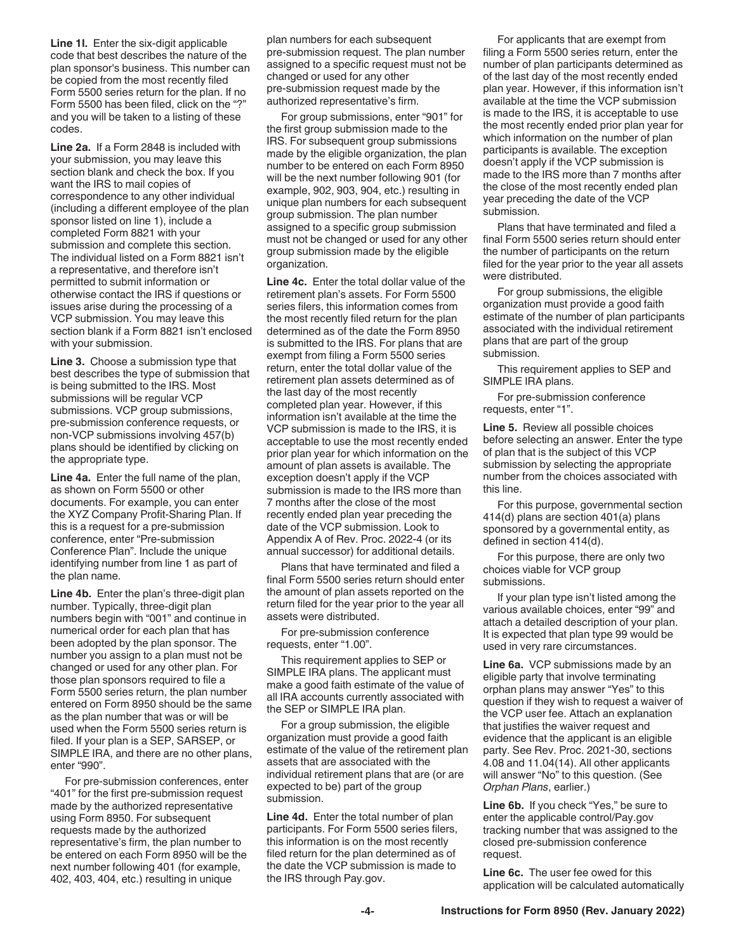**Line 1l.** Enter the six-digit applicable code that best describes the nature of the plan sponsor's business. This number can be copied from the most recently filed Form 5500 series return for the plan. If no Form 5500 has been filed, click on the "?" and you will be taken to a listing of these codes.

**Line 2a.** If a Form 2848 is included with your submission, you may leave this section blank and check the box. If you want the IRS to mail copies of correspondence to any other individual (including a different employee of the plan sponsor listed on line 1), include a completed Form 8821 with your submission and complete this section. The individual listed on a Form 8821 isn't a representative, and therefore isn't permitted to submit information or otherwise contact the IRS if questions or issues arise during the processing of a VCP submission. You may leave this section blank if a Form 8821 isn't enclosed with your submission.

**Line 3.** Choose a submission type that best describes the type of submission that is being submitted to the IRS. Most submissions will be regular VCP submissions. VCP group submissions, pre-submission conference requests, or non-VCP submissions involving 457(b) plans should be identified by clicking on the appropriate type.

**Line 4a.** Enter the full name of the plan, as shown on Form 5500 or other documents. For example, you can enter the XYZ Company Profit-Sharing Plan. If this is a request for a pre-submission conference, enter "Pre-submission Conference Plan". Include the unique identifying number from line 1 as part of the plan name.

**Line 4b.** Enter the plan's three-digit plan number. Typically, three-digit plan numbers begin with "001" and continue in numerical order for each plan that has been adopted by the plan sponsor. The number you assign to a plan must not be changed or used for any other plan. For those plan sponsors required to file a Form 5500 series return, the plan number entered on Form 8950 should be the same as the plan number that was or will be used when the Form 5500 series return is filed. If your plan is a SEP, SARSEP, or SIMPLE IRA, and there are no other plans, enter "990".

For pre-submission conferences, enter "401" for the first pre-submission request made by the authorized representative using Form 8950. For subsequent requests made by the authorized representative's firm, the plan number to be entered on each Form 8950 will be the next number following 401 (for example, 402, 403, 404, etc.) resulting in unique

plan numbers for each subsequent pre-submission request. The plan number assigned to a specific request must not be changed or used for any other pre-submission request made by the authorized representative's firm.

For group submissions, enter "901" for the first group submission made to the IRS. For subsequent group submissions made by the eligible organization, the plan number to be entered on each Form 8950 will be the next number following 901 (for example, 902, 903, 904, etc.) resulting in unique plan numbers for each subsequent group submission. The plan number assigned to a specific group submission must not be changed or used for any other group submission made by the eligible organization.

**Line 4c.** Enter the total dollar value of the retirement plan's assets. For Form 5500 series filers, this information comes from the most recently filed return for the plan determined as of the date the Form 8950 is submitted to the IRS. For plans that are exempt from filing a Form 5500 series return, enter the total dollar value of the retirement plan assets determined as of the last day of the most recently completed plan year. However, if this information isn't available at the time the VCP submission is made to the IRS, it is acceptable to use the most recently ended prior plan year for which information on the amount of plan assets is available. The exception doesn't apply if the VCP submission is made to the IRS more than 7 months after the close of the most recently ended plan year preceding the date of the VCP submission. Look to Appendix A of Rev. Proc. 2022-4 (or its annual successor) for additional details.

Plans that have terminated and filed a final Form 5500 series return should enter the amount of plan assets reported on the return filed for the year prior to the year all assets were distributed.

For pre-submission conference requests, enter "1.00".

This requirement applies to SEP or SIMPLE IRA plans. The applicant must make a good faith estimate of the value of all IRA accounts currently associated with the SEP or SIMPLE IRA plan.

For a group submission, the eligible organization must provide a good faith estimate of the value of the retirement plan assets that are associated with the individual retirement plans that are (or are expected to be) part of the group submission.

**Line 4d.** Enter the total number of plan participants. For Form 5500 series filers, this information is on the most recently filed return for the plan determined as of the date the VCP submission is made to the IRS through Pay.gov.

For applicants that are exempt from filing a Form 5500 series return, enter the number of plan participants determined as of the last day of the most recently ended plan year. However, if this information isn't available at the time the VCP submission is made to the IRS, it is acceptable to use the most recently ended prior plan year for which information on the number of plan participants is available. The exception doesn't apply if the VCP submission is made to the IRS more than 7 months after the close of the most recently ended plan year preceding the date of the VCP submission.

Plans that have terminated and filed a final Form 5500 series return should enter the number of participants on the return filed for the year prior to the year all assets were distributed.

For group submissions, the eligible organization must provide a good faith estimate of the number of plan participants associated with the individual retirement plans that are part of the group submission.

This requirement applies to SEP and SIMPLE IRA plans.

For pre-submission conference requests, enter "1".

**Line 5.** Review all possible choices before selecting an answer. Enter the type of plan that is the subject of this VCP submission by selecting the appropriate number from the choices associated with this line.

For this purpose, governmental section 414(d) plans are section 401(a) plans sponsored by a governmental entity, as defined in section 414(d).

For this purpose, there are only two choices viable for VCP group submissions.

If your plan type isn't listed among the various available choices, enter "99" and attach a detailed description of your plan. It is expected that plan type 99 would be used in very rare circumstances.

**Line 6a.** VCP submissions made by an eligible party that involve terminating orphan plans may answer "Yes" to this question if they wish to request a waiver of the VCP user fee. Attach an explanation that justifies the waiver request and evidence that the applicant is an eligible party. See Rev. Proc. 2021-30, sections 4.08 and 11.04(14). All other applicants will answer "No" to this question. (See *Orphan Plans*, earlier.)

**Line 6b.** If you check "Yes," be sure to enter the applicable control/Pay.gov tracking number that was assigned to the closed pre-submission conference request.

**Line 6c.** The user fee owed for this application will be calculated automatically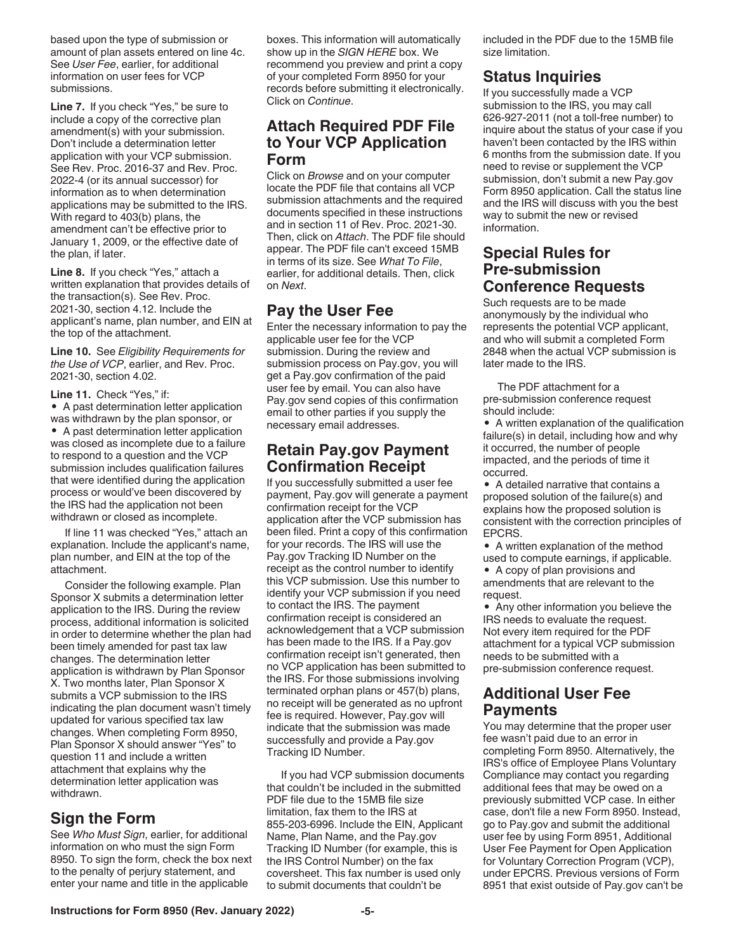based upon the type of submission or amount of plan assets entered on line 4c. See *User Fee*, earlier, for additional information on user fees for VCP submissions.

**Line 7.** If you check "Yes," be sure to include a copy of the corrective plan amendment(s) with your submission. Don't include a determination letter application with your VCP submission. See Rev. Proc. 2016-37 and Rev. Proc. 2022-4 (or its annual successor) for information as to when determination applications may be submitted to the IRS. With regard to 403(b) plans, the amendment can't be effective prior to January 1, 2009, or the effective date of the plan, if later.

Line 8. If you check "Yes," attach a written explanation that provides details of the transaction(s). See Rev. Proc. 2021-30, section 4.12. Include the applicant's name, plan number, and EIN at the top of the attachment.

**Line 10.** See *Eligibility Requirements for the Use of VCP*, earlier, and Rev. Proc. 2021-30, section 4.02.

Line 11. Check "Yes," if:

• A past determination letter application was withdrawn by the plan sponsor, or • A past determination letter application was closed as incomplete due to a failure to respond to a question and the VCP submission includes qualification failures that were identified during the application process or would've been discovered by the IRS had the application not been withdrawn or closed as incomplete.

If line 11 was checked "Yes," attach an explanation. Include the applicant's name, plan number, and EIN at the top of the attachment.

Consider the following example. Plan Sponsor X submits a determination letter application to the IRS. During the review process, additional information is solicited in order to determine whether the plan had been timely amended for past tax law changes. The determination letter application is withdrawn by Plan Sponsor X. Two months later, Plan Sponsor X submits a VCP submission to the IRS indicating the plan document wasn't timely updated for various specified tax law changes. When completing Form 8950, Plan Sponsor X should answer "Yes" to question 11 and include a written attachment that explains why the determination letter application was withdrawn.

## **Sign the Form**

See *Who Must Sign*, earlier, for additional information on who must the sign Form 8950. To sign the form, check the box next to the penalty of perjury statement, and enter your name and title in the applicable

boxes. This information will automatically show up in the *SIGN HERE* box. We recommend you preview and print a copy of your completed Form 8950 for your records before submitting it electronically. Click on *Continue*.

# **Attach Required PDF File to Your VCP Application Form**

Click on *Browse* and on your computer locate the PDF file that contains all VCP submission attachments and the required documents specified in these instructions and in section 11 of Rev. Proc. 2021-30. Then, click on *Attach*. The PDF file should appear. The PDF file can't exceed 15MB in terms of its size. See *What To File*, earlier, for additional details. Then, click on *Next*.

# **Pay the User Fee**

Enter the necessary information to pay the applicable user fee for the VCP submission. During the review and submission process on Pay.gov, you will get a Pay.gov confirmation of the paid user fee by email. You can also have Pay.gov send copies of this confirmation email to other parties if you supply the necessary email addresses.

# **Retain Pay.gov Payment Confirmation Receipt**

If you successfully submitted a user fee payment, Pay.gov will generate a payment confirmation receipt for the VCP application after the VCP submission has been filed. Print a copy of this confirmation for your records. The IRS will use the Pay.gov Tracking ID Number on the receipt as the control number to identify this VCP submission. Use this number to identify your VCP submission if you need to contact the IRS. The payment confirmation receipt is considered an acknowledgement that a VCP submission has been made to the IRS. If a Pay.gov confirmation receipt isn't generated, then no VCP application has been submitted to the IRS. For those submissions involving terminated orphan plans or 457(b) plans, no receipt will be generated as no upfront fee is required. However, Pay.gov will indicate that the submission was made successfully and provide a Pay.gov Tracking ID Number.

If you had VCP submission documents that couldn't be included in the submitted PDF file due to the 15MB file size limitation, fax them to the IRS at 855-203-6996. Include the EIN, Applicant Name, Plan Name, and the Pay.gov Tracking ID Number (for example, this is the IRS Control Number) on the fax coversheet. This fax number is used only to submit documents that couldn't be

included in the PDF due to the 15MB file size limitation.

# **Status Inquiries**

If you successfully made a VCP submission to the IRS, you may call 626-927-2011 (not a toll-free number) to inquire about the status of your case if you haven't been contacted by the IRS within 6 months from the submission date. If you need to revise or supplement the VCP submission, don't submit a new Pay.gov Form 8950 application. Call the status line and the IRS will discuss with you the best way to submit the new or revised information.

# **Special Rules for Pre-submission Conference Requests**

Such requests are to be made anonymously by the individual who represents the potential VCP applicant, and who will submit a completed Form 2848 when the actual VCP submission is later made to the IRS.

The PDF attachment for a pre-submission conference request should include:

• A written explanation of the qualification failure(s) in detail, including how and why it occurred, the number of people impacted, and the periods of time it occurred.

• A detailed narrative that contains a proposed solution of the failure(s) and explains how the proposed solution is consistent with the correction principles of EPCRS.

• A written explanation of the method used to compute earnings, if applicable.

• A copy of plan provisions and amendments that are relevant to the request.

• Any other information you believe the IRS needs to evaluate the request. Not every item required for the PDF attachment for a typical VCP submission needs to be submitted with a pre-submission conference request.

## **Additional User Fee Payments**

You may determine that the proper user fee wasn't paid due to an error in completing Form 8950. Alternatively, the IRS's office of Employee Plans Voluntary Compliance may contact you regarding additional fees that may be owed on a previously submitted VCP case. In either case, don't file a new Form 8950. Instead, go to Pay.gov and submit the additional user fee by using Form 8951, Additional User Fee Payment for Open Application for Voluntary Correction Program (VCP), under EPCRS. Previous versions of Form 8951 that exist outside of Pay.gov can't be